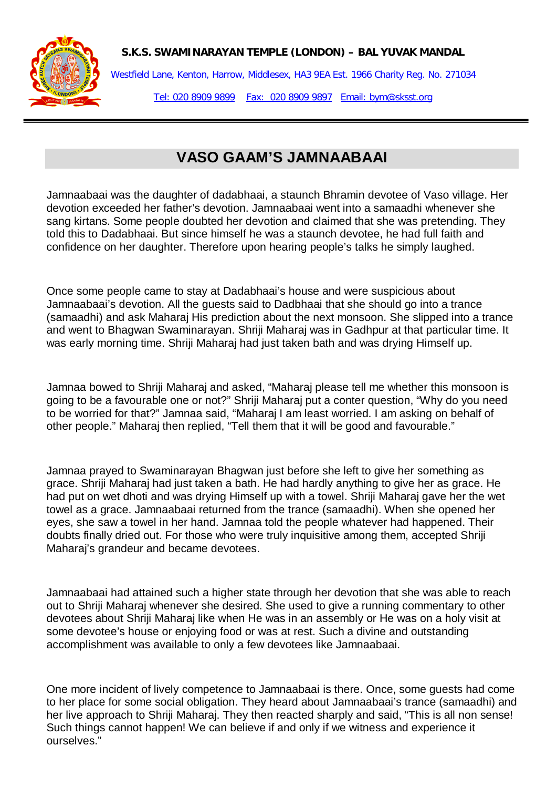**S.K.S. SWAMINARAYAN TEMPLE (LONDON) – BAL YUVAK MANDAL**



Westfield Lane, Kenton, Harrow, Middlesex, HA3 9EA Est. 1966 Charity Reg. No. 271034 Tel: 020 8909 9899 Fax: 020 8909 9897 Email: bym@sksst.org

## **VASO GAAM'S JAMNAABAAI**

Jamnaabaai was the daughter of dadabhaai, a staunch Bhramin devotee of Vaso village. Her devotion exceeded her father's devotion. Jamnaabaai went into a samaadhi whenever she sang kirtans. Some people doubted her devotion and claimed that she was pretending. They told this to Dadabhaai. But since himself he was a staunch devotee, he had full faith and confidence on her daughter. Therefore upon hearing people's talks he simply laughed.

Once some people came to stay at Dadabhaai's house and were suspicious about Jamnaabaai's devotion. All the guests said to Dadbhaai that she should go into a trance (samaadhi) and ask Maharaj His prediction about the next monsoon. She slipped into a trance and went to Bhagwan Swaminarayan. Shriji Maharaj was in Gadhpur at that particular time. It was early morning time. Shriji Maharaj had just taken bath and was drying Himself up.

Jamnaa bowed to Shriji Maharaj and asked, "Maharaj please tell me whether this monsoon is going to be a favourable one or not?" Shriji Maharaj put a conter question, "Why do you need to be worried for that?" Jamnaa said, "Maharaj I am least worried. I am asking on behalf of other people." Maharaj then replied, "Tell them that it will be good and favourable."

Jamnaa prayed to Swaminarayan Bhagwan just before she left to give her something as grace. Shriji Maharaj had just taken a bath. He had hardly anything to give her as grace. He had put on wet dhoti and was drying Himself up with a towel. Shriji Maharaj gave her the wet towel as a grace. Jamnaabaai returned from the trance (samaadhi). When she opened her eyes, she saw a towel in her hand. Jamnaa told the people whatever had happened. Their doubts finally dried out. For those who were truly inquisitive among them, accepted Shriji Maharai's grandeur and became devotees.

Jamnaabaai had attained such a higher state through her devotion that she was able to reach out to Shriji Maharaj whenever she desired. She used to give a running commentary to other devotees about Shriji Maharaj like when He was in an assembly or He was on a holy visit at some devotee's house or enjoying food or was at rest. Such a divine and outstanding accomplishment was available to only a few devotees like Jamnaabaai.

One more incident of lively competence to Jamnaabaai is there. Once, some guests had come to her place for some social obligation. They heard about Jamnaabaai's trance (samaadhi) and her live approach to Shriji Maharaj. They then reacted sharply and said, "This is all non sense! Such things cannot happen! We can believe if and only if we witness and experience it ourselves."